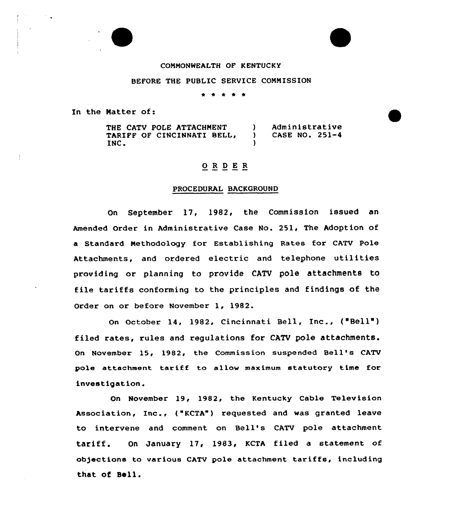# COMMONWEALTH OF KENTUCKY

### BEFORE THE PUBLIC SERVICE CONNISSION

\* \* \*

In the Natter of:

THE CATV POLE ATTACHMENT TARIFF OF CINCINNATI BELL, INC. ) Administrative<br>) CASE NO. 251-4 } CASE NO. 251-4

# ORDER

#### PROCEDURAL BACKGROUND

On September 17, 1982, the Commission issued an Amended Order in Administrative Case No. 251, The Adoption of a Standard Nethodology for Establishing Rates for CATV Pole Attachments, and ordered electric and telephone utilities providing or planning to provide CATV pole attachments to file tariffs conforming to the principles and findings of the Order on or before November 1, 1982.

On October 14, 1982, Cincinnati Bell, Inc., ("Bell" ) filed rates, rules and regulations for CATV pole attachments. On November 15, 1982, the Commission suspended Bell's CATV pole attachment tariff to allow maximum statutory time for investigation.

On November 19, 1982, the Kentucky Cable Television Association, Inc., ("KCTA") requested and was granted leave to intervene and comment on Bell's CATV pole attachment tariff. On January 17, 1983, KCTA filed <sup>a</sup> statement of ob)ectione to various CATV pole attachment tariffs, including that of Bell.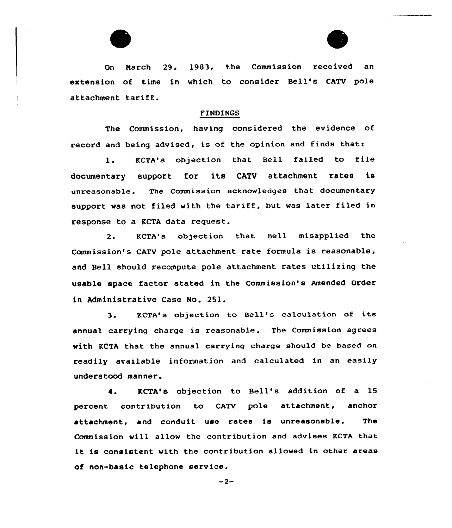



On March 29, 1983, the Commission received an extension of time in which to consider Bell's CATV pole attachment tariff.

#### FINDINGS

The Commission, having considered the evidence of record and being advised, is of the opinion and finds that:

1. KCTA's objection that Bell failed to file documentary support for its CATV attachment rates is unreasonable. The Commission acknowledges that documentary support vas not filed with the tariff, but was later filed in response to a KCTA data request.

2. KCTA's objection that Bell misapplied the Commission's CATV pole attachment rate formula is reasonable, and Bell should recompute pole attachment rates utilizing the usable space factor stated in the Commission's Amended Order in Administrative Case No. 251.

3. KCTA's objection to Bell's calculation of its annual carrying charge is reasonable. The Commission agrees with RCTA that the annual carrying charge should be based on readily available information and calculated in an easily understood manner.

4. KCTA's objection to Bell's addition of a 15 percent contribution to CATV pole attachment, anchor attachment, and conduit use rates is unreasonable. The Commission will allow the contribution and advises KCTA that it is consistent with the contribution allowed in other areas of non-basic telephone service.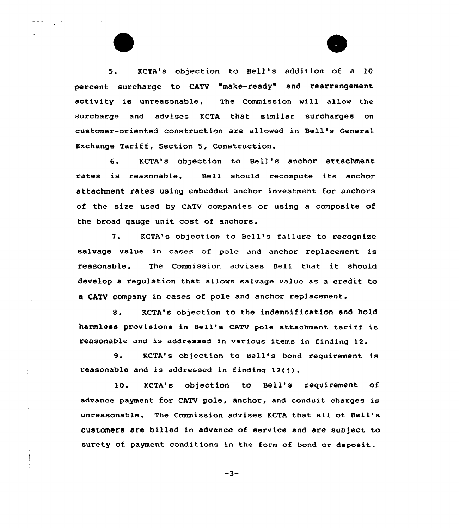

 $\mathcal{L}_{\mathcal{L}}$ 



5. KCTA's objection to Bell's addition of a 10 percent surcharge to CATV "make-ready" and rearrangement activity is unreasonable. The Commission will allow the surcharge and advises KCTA that similar surcharges on customer-oriented construction are allowed in Bell's General Exchange Tariff, Section 5, Construction.

6. KCTA's objection to Bell's anchor attachment rates is reasonable. Bell should recompute its anchor attachment rates using embedded anchor investment for anchors of the size used by CATV companies or using a composite of the broad gauge unit cost of anchors.

7. KCTA's objection to Bell's failure to recognize salvage value in cases of pole and anchor replacement is reasonable. The Commission advises Bell that it should develop a regulation that allows salvage value as a credit to a CATV company in cases of pole and anchor replacement.

8. KCTA's objection to the indemnification and hold harmless provisions in Bell's CATV pole attachment tariff is reasonable and is addressed in various items in finding 12.

9. KCTA's objection to Bell's bond requirement is reasonable and is addressed in finding

10. KCTA's objection to Bell's requirement of advance payment for CATV pole, anchor, and conduit charges is unreasonable. The Commission advises KCTA that all of Bell' customers are billed in advance of service and are subject to surety of payment conditions in the form of bond or deposit.

 $-3-$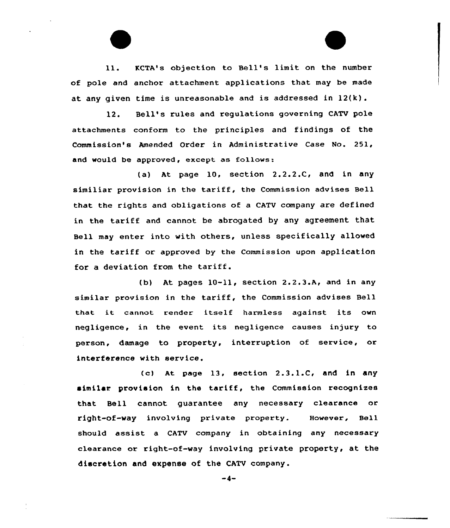ll. KCTA's objection to Bell's limit on the number of pole and anchor attachment applications that may be made at any given time is unreasonable and is addressed in 12(k).

12. Bell's rules and regulations governing CATV pole attachments conform to the principles and findings of the Commission's Amended Order in Administrative Case No. 251, and would be approved, except as follows:

(a) At page 10, section 2.2.2.C, and in any similiar provision in the tariff, the Commission advises Bell that the rights and obligations of a CATV company are defined in the tariff and cannot be abrogated by any agreement that Bell may enter into with others, unless specifically allowed in the tariff or approved by the Commission upon application for <sup>a</sup> deviation from the tariff.

(b) At pages 10-11, section 2.2.3.A, and in any similar provision in the tariff, the Commission advises Bell that it cannot render itself harmless against its own negligence, in the event its negligence causes injury to person, damage to property, interruption of service, or interference with service.

(c) At page 13, section 2.3.1.C, and in any similar provision in the tariff, the Commission recognizes that Bell cannot guarantee any necessary clearance or right-of-way involving private property. However, Bell should assist a CATV company in obtaining any necessary clearance or right-of-way involving private property, at the discretion and expense of the CATV company.

 $-4-$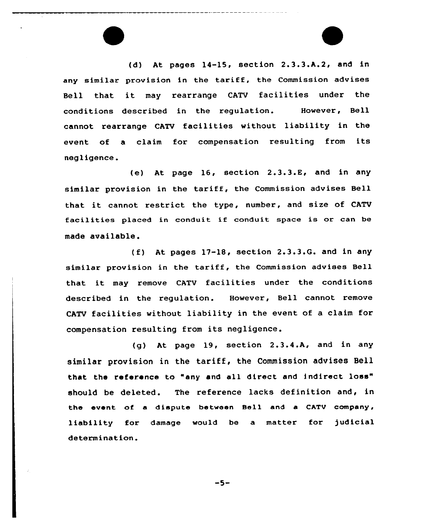$(d)$  At pages  $14-15$ , section  $2.3.3.A.2$ , and in any similar provision in the tariff, the Commission advises Bell that it may rearrange CATV facilities undex the conditions described in the regulation. However, Bell cannot rearrange CATV facilities without liability in the event of <sup>a</sup> claim for compensation resulting from its negligence.

(e) At page 16, section 2.3.3.E, and in any similar provision in the tariff, the Commission advises Bell that it cannot xestrict the type, number, and size of CATV facilities placed in conduit if conduit space is or can be made available.

(f) At pages 17-18, section 2.3.3.G. and in any similar provision in the tariff, the Commission advises Bell that it may remove CATV facilities under the conditions described in the regulation. However, Bell cannot remove CATV facilities without liability in the event of a claim for compensation resulting from its negligence.

(g) At page 19, section 2.3.4.A, and in any similar provision in the tariff, the Commission advises Bell that the reference to "any and all direct and indirect loss" should be deleted. The reference lacks definition and, in the event of a dispute between Bell and a CATV company, liability for damage would be a matter for judicial determination.

 $-5-$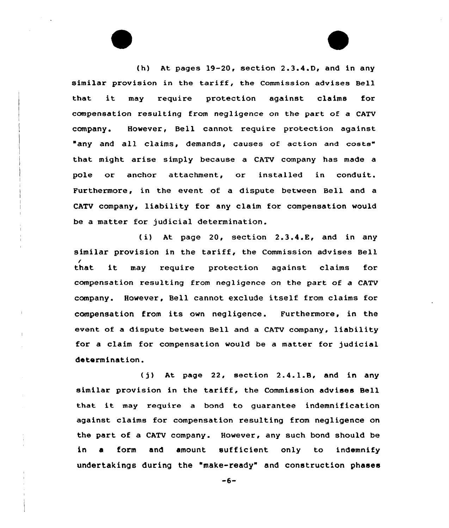(h) At pages 19-20, section 2.3.4.D, and in any similar provision in the tariff, the Commission advises Bell that it may require protection against claims for compensation resulting from negligence on the part of a CATV company. However, Bell cannot require protection against "any and all claims, demands, causes of action and costs" that might arise simply because a CATV company has made a pole or anchor attachment, or installed in conduit. Furthermore, in the event of a dispute between Bell and a CATV company, liability for any claim for compensation would be a matter for judicial determination.

( i) At page 20, section 2.3.4.8, and in any similar provision in the tariff, the Commission advises Bell  $that$ that it may require protection against claims for compensation xesulting from negligence on the part of a CATV company. However, Bell cannot exclude itself from claims for compensation from its own negligence. Furthermore, in the event of a dispute between Bell and a CATV company, liability for a claim for compensation would be a matter for judicial determination.

(j) At page 22, section 2.4.1.8, and in any similar provision in the tariff, the Commission advises Bell that it may require <sup>a</sup> bond to guarantee indemnification against claims for compensation resulting from negligence on the part of a CATV company. However, any such bond should be in a form and amount sufficient only to indemnify undertakings during the "make-ready" and construct'on phases

 $-6-$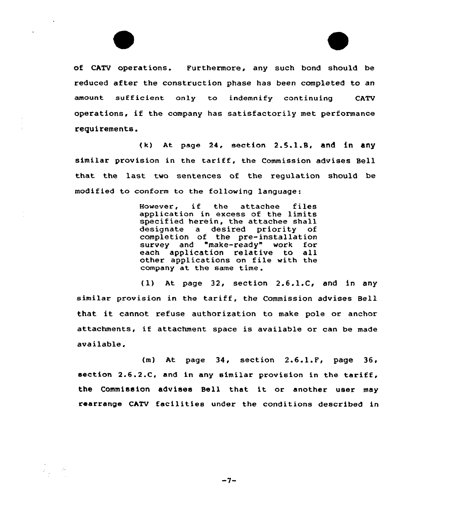of CATV operations. Furthermore, any such bond should be reduced after the construction phase has been completed to an amount sufficient only to indemnify continuing CATV operations, if the company has satisfactorily met performance requirements.

( k) At page 24, section 2.5.1.B, and in any similar provision in the tariff, the Commission advises Bell that the last two sentences of the regulation should be modified to conform to the following language:

> However, if the attachee files application in excess of the limits specified herein, the attachee shall specified herein, the attachee shall<br>designate a desired priority of completion of the pre-installation survey and "make-ready" work for each application relative to all other applications on file with the company at the same time.

(1) At page 32, section 2.6.1.C, and in any similar provision in the tariff, the Commission advises Bell that it cannot refuse authorization to make pole or anchor attachments, if attachment space is available or can be made available.

(m) At page 34, section 2.6.1.F, page 36, section 2.6.2.C, and in any similar provision in the tariff, the Commission advises Bell that it or another user may rearrange CATV facilities under the conditions described in

 $-7-$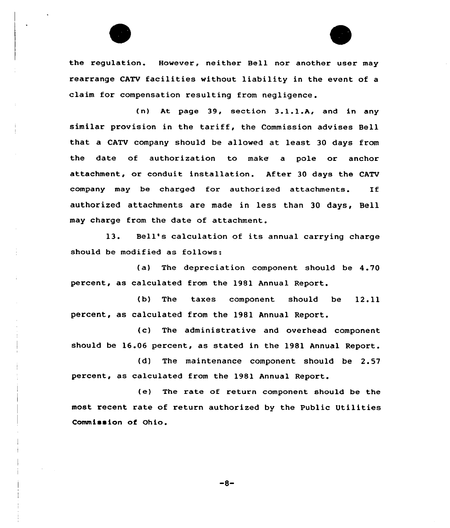

the regulation. However, neither Bell nor another user may rearrange CATV facilities without liability in the event of <sup>a</sup> claim for compensation resulting from negligence.

(n) At page 39, section 3.1.1.A, and in any similar provision in the tariff, the Commission advises Bell that a CATV company should be allowed at least 30 days from the date of authorization to make a pole or anchor attachment, or conduit installation. After 30 days the CATV company may be charged for authorized attachments. If authorized attachments are made in less than 30 days, Bell may charge from the date of attachment.

13. Bell's calculation of its annual carrying charge should be modified as follows:

(a) The depreciation component should be 4.70 percent, as calculated from the 1981 Annual Report.

(b) The taxes component should be 12.11 percent, as calculated from the 1981 Annual Report.

(c) The administrative and overhead component should be 16.06 percent, as stated in the 1981 Annual Report.

(d) The maintenance component should be 2.57 percent, as calculated from the 1981 Annual Report.

(e) The rate of return component should be the most recent rate of return authorized by the Public Utilities Commission of Ohio.

 $-8-$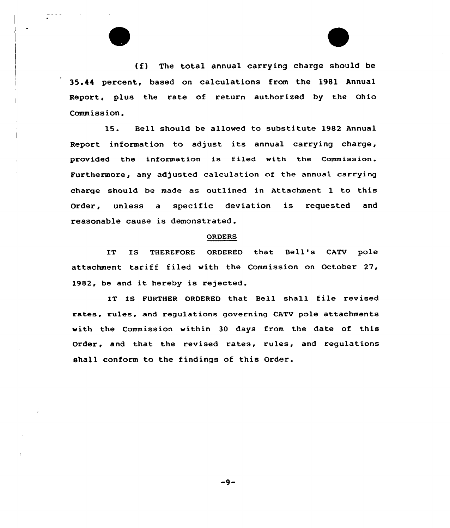(f) The total annual carrying charge should be 35.44 percent, based on calculations from the 1981 Annual Report, plus the rate of return authorised by the Ohio Commission.

15. Bell should be allowed to substitute 1982 Annual Report information to adjust its annual carrying charge, provided the information is filed with the Commission. Furthermore, any adjusted calculation of the annual carrying charge should be made as outlined in Attachment 1 to this Order, unless a specific deviation is requested and reasonable cause is demonstrated.

#### ORDERS

IT IS THEREFORE ORDERED that Bell's CATV pole attachment tariff filed with the Commission on October 27, 1982, be and it hereby is rejected.

IT IS FURTHER ORDERED that Bell shall file revised rates, rules, and regulations governing CATV pole attachments with the Commission within 30 days from the date of this Order, and that the revised rates, rules, and regulations shall conform to the findings of this Order.

-9-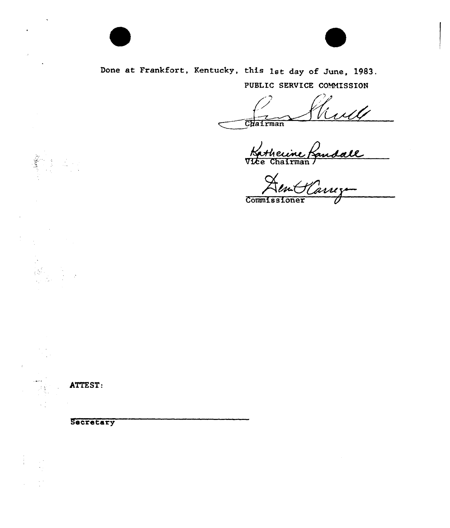# Done at Frankfort, Kentucky, this 1st day of June, 1983. PUBLIC SERVICE CONNISSION

cult Chairman

Katherine Kandall

Commissioner

ATTEST:

 $\hat{\vec{x}}$ 

 $\ddot{\phantom{a}}$ 

 $\label{eq:2} \frac{1}{2} \sum_{i=1}^n \sum_{j=1}^n \sum_{j=1}^n \sum_{j=1}^n \sum_{j=1}^n \sum_{j=1}^n \sum_{j=1}^n \sum_{j=1}^n \sum_{j=1}^n \sum_{j=1}^n \sum_{j=1}^n \sum_{j=1}^n \sum_{j=1}^n \sum_{j=1}^n \sum_{j=1}^n \sum_{j=1}^n \sum_{j=1}^n \sum_{j=1}^n \sum_{j=1}^n \sum_{j=1}^n \sum_{j=1}^n \sum_{j=1}^n \sum_{j=1}^$ 

 $\epsilon = 1$  $\mathbb{R}^2$ 

月子

 $\frac{1}{2}$  .

 $\bar{r}$ 

 $\frac{3}{2}$ 

**Secretary**